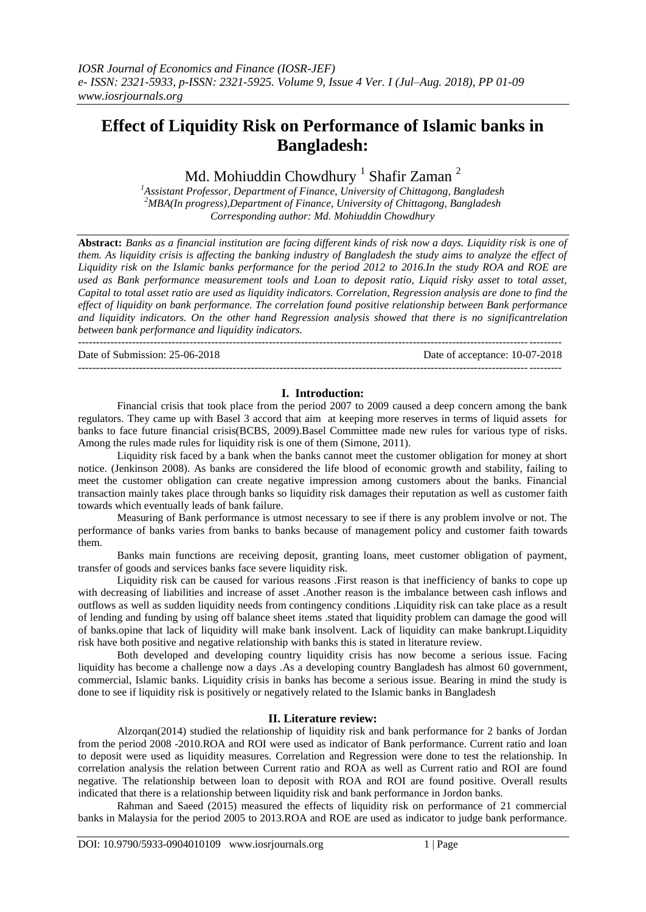# **Effect of Liquidity Risk on Performance of Islamic banks in Bangladesh:**

Md. Mohiuddin Chowdhury  $^1$  Shafir Zaman  $^2$ 

*<sup>1</sup>Assistant Professor, Department of Finance, University of Chittagong, Bangladesh <sup>2</sup>MBA(In progress),Department of Finance, University of Chittagong, Bangladesh Corresponding author: Md. Mohiuddin Chowdhury*

**Abstract:** *Banks as a financial institution are facing different kinds of risk now a days. Liquidity risk is one of them. As liquidity crisis is affecting the banking industry of Bangladesh the study aims to analyze the effect of Liquidity risk on the Islamic banks performance for the period 2012 to 2016.In the study ROA and ROE are used as Bank performance measurement tools and Loan to deposit ratio, Liquid risky asset to total asset, Capital to total asset ratio are used as liquidity indicators. Correlation, Regression analysis are done to find the effect of liquidity on bank performance. The correlation found positive relationship between Bank performance and liquidity indicators. On the other hand Regression analysis showed that there is no significantrelation between bank performance and liquidity indicators.*

-------------------------------------------------------------------------------------------------------------------------------------- Date of Submission: 25-06-2018 Date of acceptance: 10-07-2018

--------------------------------------------------------------------------------------------------------------------------------------

# **I. Introduction:**

Financial crisis that took place from the period 2007 to 2009 caused a deep concern among the bank regulators. They came up with Basel 3 accord that aim at keeping more reserves in terms of liquid assets for banks to face future financial crisis(BCBS, 2009).Basel Committee made new rules for various type of risks. Among the rules made rules for liquidity risk is one of them (Simone, 2011).

Liquidity risk faced by a bank when the banks cannot meet the customer obligation for money at short notice. (Jenkinson 2008). As banks are considered the life blood of economic growth and stability, failing to meet the customer obligation can create negative impression among customers about the banks. Financial transaction mainly takes place through banks so liquidity risk damages their reputation as well as customer faith towards which eventually leads of bank failure.

Measuring of Bank performance is utmost necessary to see if there is any problem involve or not. The performance of banks varies from banks to banks because of management policy and customer faith towards them.

Banks main functions are receiving deposit, granting loans, meet customer obligation of payment, transfer of goods and services banks face severe liquidity risk.

Liquidity risk can be caused for various reasons .First reason is that inefficiency of banks to cope up with decreasing of liabilities and increase of asset .Another reason is the imbalance between cash inflows and outflows as well as sudden liquidity needs from contingency conditions .Liquidity risk can take place as a result of lending and funding by using off balance sheet items .stated that liquidity problem can damage the good will of banks.opine that lack of liquidity will make bank insolvent. Lack of liquidity can make bankrupt.Liquidity risk have both positive and negative relationship with banks this is stated in literature review.

Both developed and developing country liquidity crisis has now become a serious issue. Facing liquidity has become a challenge now a days .As a developing country Bangladesh has almost 60 government, commercial, Islamic banks. Liquidity crisis in banks has become a serious issue. Bearing in mind the study is done to see if liquidity risk is positively or negatively related to the Islamic banks in Bangladesh

# **II. Literature review:**

Alzorqan(2014) studied the relationship of liquidity risk and bank performance for 2 banks of Jordan from the period 2008 -2010.ROA and ROI were used as indicator of Bank performance. Current ratio and loan to deposit were used as liquidity measures. Correlation and Regression were done to test the relationship. In correlation analysis the relation between Current ratio and ROA as well as Current ratio and ROI are found negative. The relationship between loan to deposit with ROA and ROI are found positive. Overall results indicated that there is a relationship between liquidity risk and bank performance in Jordon banks.

Rahman and Saeed (2015) measured the effects of liquidity risk on performance of 21 commercial banks in Malaysia for the period 2005 to 2013.ROA and ROE are used as indicator to judge bank performance.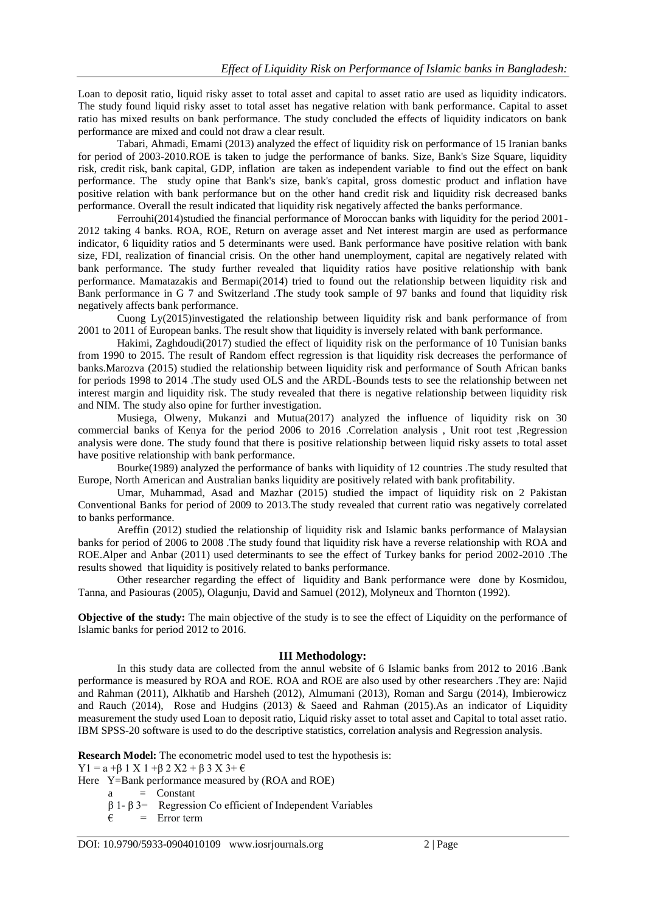Loan to deposit ratio, liquid risky asset to total asset and capital to asset ratio are used as liquidity indicators. The study found liquid risky asset to total asset has negative relation with bank performance. Capital to asset ratio has mixed results on bank performance. The study concluded the effects of liquidity indicators on bank performance are mixed and could not draw a clear result.

Tabari, Ahmadi, Emami (2013) analyzed the effect of liquidity risk on performance of 15 Iranian banks for period of 2003-2010.ROE is taken to judge the performance of banks. Size, Bank's Size Square, liquidity risk, credit risk, bank capital, GDP, inflation are taken as independent variable to find out the effect on bank performance. The study opine that Bank's size, bank's capital, gross domestic product and inflation have positive relation with bank performance but on the other hand credit risk and liquidity risk decreased banks performance. Overall the result indicated that liquidity risk negatively affected the banks performance.

Ferrouhi(2014)studied the financial performance of Moroccan banks with liquidity for the period 2001- 2012 taking 4 banks. ROA, ROE, Return on average asset and Net interest margin are used as performance indicator, 6 liquidity ratios and 5 determinants were used. Bank performance have positive relation with bank size, FDI, realization of financial crisis. On the other hand unemployment, capital are negatively related with bank performance. The study further revealed that liquidity ratios have positive relationship with bank performance. Mamatazakis and Bermapi(2014) tried to found out the relationship between liquidity risk and Bank performance in G 7 and Switzerland .The study took sample of 97 banks and found that liquidity risk negatively affects bank performance.

Cuong Ly(2015)investigated the relationship between liquidity risk and bank performance of from 2001 to 2011 of European banks. The result show that liquidity is inversely related with bank performance.

Hakimi, Zaghdoudi(2017) studied the effect of liquidity risk on the performance of 10 Tunisian banks from 1990 to 2015. The result of Random effect regression is that liquidity risk decreases the performance of banks.Marozva (2015) studied the relationship between liquidity risk and performance of South African banks for periods 1998 to 2014 .The study used OLS and the ARDL-Bounds tests to see the relationship between net interest margin and liquidity risk. The study revealed that there is negative relationship between liquidity risk and NIM. The study also opine for further investigation.

Musiega, Olweny, Mukanzi and Mutua(2017) analyzed the influence of liquidity risk on 30 commercial banks of Kenya for the period 2006 to 2016 .Correlation analysis , Unit root test ,Regression analysis were done. The study found that there is positive relationship between liquid risky assets to total asset have positive relationship with bank performance.

Bourke(1989) analyzed the performance of banks with liquidity of 12 countries .The study resulted that Europe, North American and Australian banks liquidity are positively related with bank profitability.

Umar, Muhammad, Asad and Mazhar (2015) studied the impact of liquidity risk on 2 Pakistan Conventional Banks for period of 2009 to 2013.The study revealed that current ratio was negatively correlated to banks performance.

Areffin (2012) studied the relationship of liquidity risk and Islamic banks performance of Malaysian banks for period of 2006 to 2008 .The study found that liquidity risk have a reverse relationship with ROA and ROE.Alper and Anbar (2011) used determinants to see the effect of Turkey banks for period 2002-2010 .The results showed that liquidity is positively related to banks performance.

Other researcher regarding the effect of liquidity and Bank performance were done by Kosmidou, Tanna, and Pasiouras (2005), Olagunju, David and Samuel (2012), Molyneux and Thornton (1992).

**Objective of the study:** The main objective of the study is to see the effect of Liquidity on the performance of Islamic banks for period 2012 to 2016.

# **III Methodology:**

In this study data are collected from the annul website of 6 Islamic banks from 2012 to 2016 .Bank performance is measured by ROA and ROE. ROA and ROE are also used by other researchers .They are: Najid and Rahman (2011), Alkhatib and Harsheh (2012), Almumani (2013), Roman and Sargu (2014), Imbierowicz and Rauch (2014), Rose and Hudgins (2013) & Saeed and Rahman (2015).As an indicator of Liquidity measurement the study used Loan to deposit ratio, Liquid risky asset to total asset and Capital to total asset ratio. IBM SPSS-20 software is used to do the descriptive statistics, correlation analysis and Regression analysis.

**Research Model:** The econometric model used to test the hypothesis is:

 $Y1 = a + β 1 X 1 + β 2 X2 + β 3 X 3 + ε$ 

Here Y=Bank performance measured by (ROA and ROE)

a = Constant

β 1- β 3= Regression Co efficient of Independent Variables

 $\epsilon$  = Error term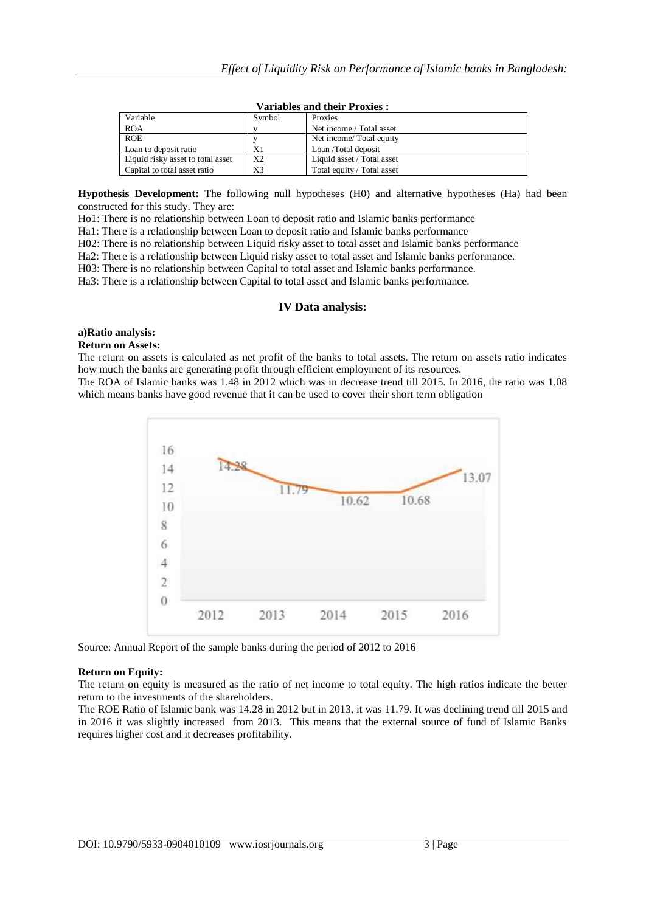| Variable                          | Symbol         | Proxies                    |
|-----------------------------------|----------------|----------------------------|
| <b>ROA</b>                        |                | Net income / Total asset   |
| <b>ROE</b>                        |                | Net income/Total equity    |
| Loan to deposit ratio             | Χ1             | Loan /Total deposit        |
| Liquid risky asset to total asset | X <sub>2</sub> | Liquid asset / Total asset |
| Capital to total asset ratio      | X3             | Total equity / Total asset |

#### **Variables and their Proxies :**

**Hypothesis Development:** The following null hypotheses (H0) and alternative hypotheses (Ha) had been constructed for this study. They are:

Ho1: There is no relationship between Loan to deposit ratio and Islamic banks performance

Ha1: There is a relationship between Loan to deposit ratio and Islamic banks performance

H02: There is no relationship between Liquid risky asset to total asset and Islamic banks performance

Ha2: There is a relationship between Liquid risky asset to total asset and Islamic banks performance.

H03: There is no relationship between Capital to total asset and Islamic banks performance.

Ha3: There is a relationship between Capital to total asset and Islamic banks performance.

#### **IV Data analysis:**

#### **a)Ratio analysis:**

#### **Return on Assets:**

The return on assets is calculated as net profit of the banks to total assets. The return on assets ratio indicates how much the banks are generating profit through efficient employment of its resources.

The ROA of Islamic banks was 1.48 in 2012 which was in decrease trend till 2015. In 2016, the ratio was 1.08 which means banks have good revenue that it can be used to cover their short term obligation



Source: Annual Report of the sample banks during the period of 2012 to 2016

#### **Return on Equity:**

The return on equity is measured as the ratio of net income to total equity. The high ratios indicate the better return to the investments of the shareholders.

The ROE Ratio of Islamic bank was 14.28 in 2012 but in 2013, it was 11.79. It was declining trend till 2015 and in 2016 it was slightly increased from 2013. This means that the external source of fund of Islamic Banks requires higher cost and it decreases profitability.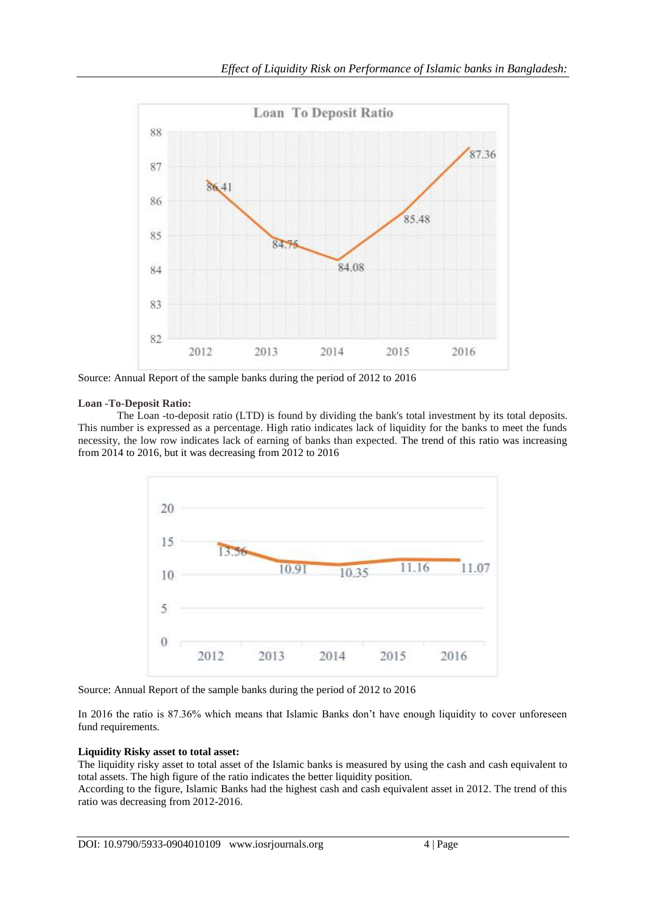

Source: Annual Report of the sample banks during the period of 2012 to 2016

# **Loan -To-Deposit Ratio:**

The Loan -to-deposit ratio (LTD) is found by dividing the bank's total investment by its total deposits. This number is expressed as a percentage. High ratio indicates lack of liquidity for the banks to meet the funds necessity, the low row indicates lack of earning of banks than expected. The trend of this ratio was increasing from 2014 to 2016, but it was decreasing from 2012 to 2016



Source: Annual Report of the sample banks during the period of 2012 to 2016

In 2016 the ratio is 87.36% which means that Islamic Banks don't have enough liquidity to cover unforeseen fund requirements.

# **Liquidity Risky asset to total asset:**

The liquidity risky asset to total asset of the Islamic banks is measured by using the cash and cash equivalent to total assets. The high figure of the ratio indicates the better liquidity position.

According to the figure, Islamic Banks had the highest cash and cash equivalent asset in 2012. The trend of this ratio was decreasing from 2012-2016.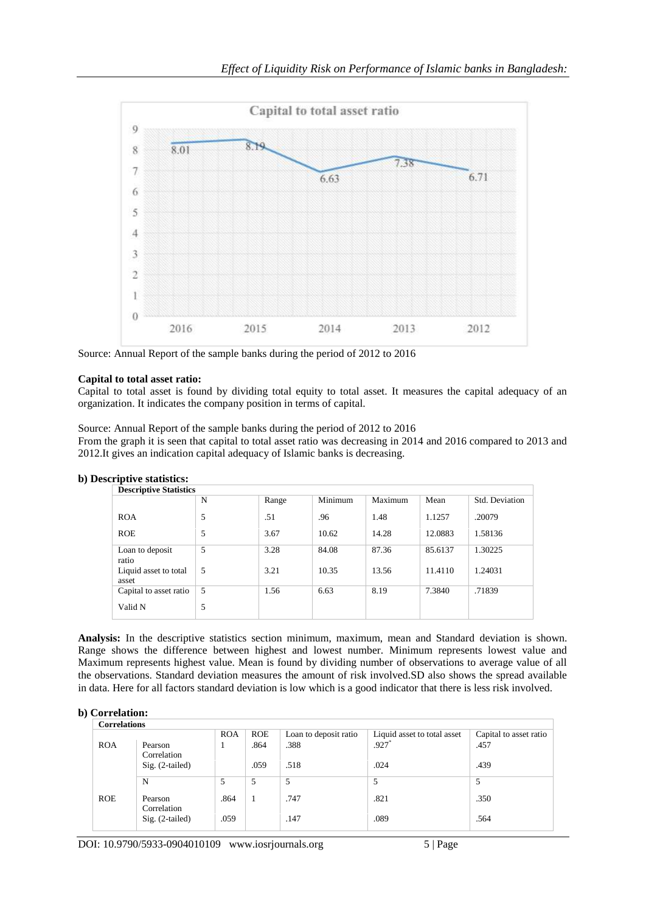

Source: Annual Report of the sample banks during the period of 2012 to 2016

# **Capital to total asset ratio:**

Capital to total asset is found by dividing total equity to total asset. It measures the capital adequacy of an organization. It indicates the company position in terms of capital.

Source: Annual Report of the sample banks during the period of 2012 to 2016

From the graph it is seen that capital to total asset ratio was decreasing in 2014 and 2016 compared to 2013 and 2012.It gives an indication capital adequacy of Islamic banks is decreasing.

| <b>Descriptive Statistics</b>  |   |       |         |         |         |                |
|--------------------------------|---|-------|---------|---------|---------|----------------|
|                                | N | Range | Minimum | Maximum | Mean    | Std. Deviation |
| <b>ROA</b>                     | 5 | .51   | .96     | 1.48    | 1.1257  | .20079         |
| <b>ROE</b>                     | 5 | 3.67  | 10.62   | 14.28   | 12.0883 | 1.58136        |
| Loan to deposit<br>ratio       | 5 | 3.28  | 84.08   | 87.36   | 85.6137 | 1.30225        |
| Liquid asset to total<br>asset | 5 | 3.21  | 10.35   | 13.56   | 11.4110 | 1.24031        |
| Capital to asset ratio         | 5 | 1.56  | 6.63    | 8.19    | 7.3840  | .71839         |
| Valid N                        | 5 |       |         |         |         |                |

**Analysis:** In the descriptive statistics section minimum, maximum, mean and Standard deviation is shown. Range shows the difference between highest and lowest number. Minimum represents lowest value and Maximum represents highest value. Mean is found by dividing number of observations to average value of all the observations. Standard deviation measures the amount of risk involved.SD also shows the spread available in data. Here for all factors standard deviation is low which is a good indicator that there is less risk involved.

#### **b) Correlation: Correlations**

| Correlations |                        |              |            |                       |                             |                        |
|--------------|------------------------|--------------|------------|-----------------------|-----------------------------|------------------------|
|              |                        | <b>ROA</b>   | <b>ROE</b> | Loan to deposit ratio | Liquid asset to total asset | Capital to asset ratio |
| <b>ROA</b>   | Pearson<br>Correlation | $\mathbf{I}$ | .864       | .388                  | $.927*$                     | .457                   |
|              | $Sig. (2-tailed)$      |              | .059       | .518                  | .024                        | .439                   |
|              | N                      |              | 5          | 5                     | 5                           | 5                      |
| <b>ROE</b>   | Pearson<br>Correlation | .864         |            | .747                  | .821                        | .350                   |
|              | $Sig. (2-tailed)$      | .059         |            | .147                  | .089                        | .564                   |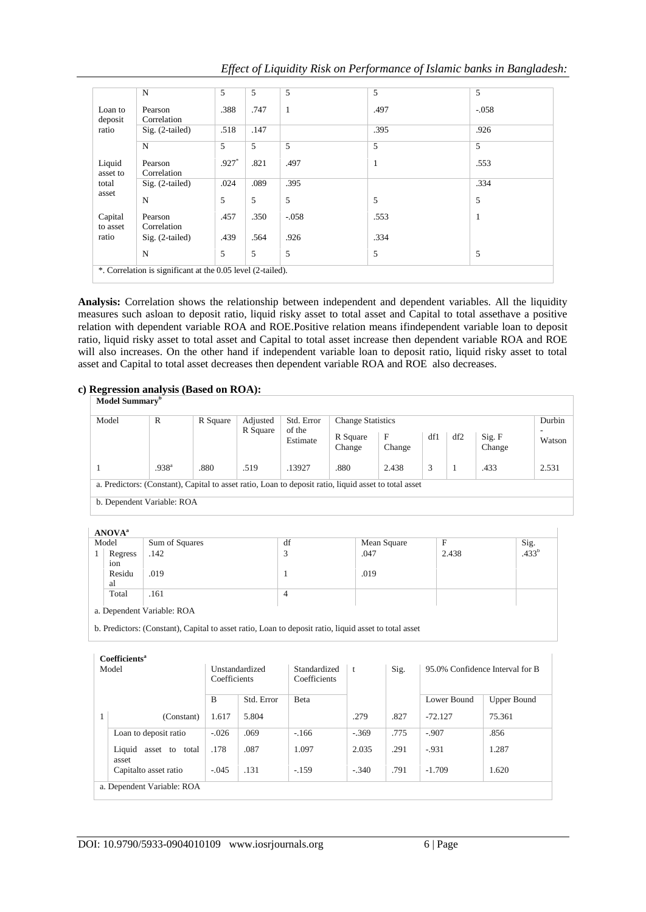| Effect of Liquidity Risk on Performance of Islamic banks in Bangladesh: |  |
|-------------------------------------------------------------------------|--|
|                                                                         |  |

|                     | $\mathbf N$                                                 | 5       | 5    | 5       | 5    | 5       |
|---------------------|-------------------------------------------------------------|---------|------|---------|------|---------|
| Loan to<br>deposit  | Pearson<br>Correlation                                      | .388    | .747 | 1       | .497 | $-.058$ |
| ratio               | Sig. (2-tailed)                                             | .518    | .147 |         | .395 | .926    |
|                     | N                                                           | 5       | 5    | 5       | 5    | 5       |
| Liquid<br>asset to  | Pearson<br>Correlation                                      | $.927*$ | .821 | .497    | 1    | .553    |
| total               | Sig. (2-tailed)                                             | .024    | .089 | .395    |      | .334    |
| asset               | N                                                           | 5       | 5    | 5       | 5    | 5       |
| Capital<br>to asset | Pearson<br>Correlation                                      | .457    | .350 | $-.058$ | .553 | 1       |
| ratio               | Sig. (2-tailed)                                             | .439    | .564 | .926    | .334 |         |
|                     | N                                                           | 5       | 5    | 5       | 5    | 5       |
|                     | *. Correlation is significant at the 0.05 level (2-tailed). |         |      |         |      |         |

**Analysis:** Correlation shows the relationship between independent and dependent variables. All the liquidity measures such asloan to deposit ratio, liquid risky asset to total asset and Capital to total assethave a positive relation with dependent variable ROA and ROE.Positive relation means ifindependent variable loan to deposit ratio, liquid risky asset to total asset and Capital to total asset increase then dependent variable ROA and ROE will also increases. On the other hand if independent variable loan to deposit ratio, liquid risky asset to total asset and Capital to total asset decreases then dependent variable ROA and ROE also decreases.

# **c) Regression analysis (Based on ROA):**

| Model | R                          | R Square                                                                                              | Adjusted           | Std. Error         | <b>Change Statistics</b> |       |     |                  |        | Durbin |
|-------|----------------------------|-------------------------------------------------------------------------------------------------------|--------------------|--------------------|--------------------------|-------|-----|------------------|--------|--------|
|       |                            | R Square                                                                                              | of the<br>Estimate | R Square<br>Change | $\mathbf{F}$<br>Change   | df1   | df2 | Sig. F<br>Change | Watson |        |
|       | .938 <sup>a</sup>          | .880                                                                                                  | .519               | .13927             | .880                     | 2.438 | 3   |                  | .433   | 2.531  |
|       | b. Dependent Variable: ROA | a. Predictors: (Constant), Capital to asset ratio, Loan to deposit ratio, liquid asset to total asset |                    |                    |                          |       |     |                  |        |        |

| 11117711 |                            |                   |             |       |                   |
|----------|----------------------------|-------------------|-------------|-------|-------------------|
| Model    | Sum of Squares             | df                | Mean Square | F     | Sig.              |
| Regress  | .142                       | $\mathbf{\Omega}$ | .047        | 2.438 | .433 <sup>b</sup> |
| ion      |                            |                   |             |       |                   |
| Residu   | .019                       |                   | .019        |       |                   |
| al       |                            |                   |             |       |                   |
| Total    | .161                       | 4                 |             |       |                   |
|          |                            |                   |             |       |                   |
|          | a. Dependent Variable: ROA |                   |             |       |                   |
|          |                            |                   |             |       |                   |

b. Predictors: (Constant), Capital to asset ratio, Loan to deposit ratio, liquid asset to total asset

| Model |                                   | Unstandardized<br>Coefficients |            | Standardized<br>Coefficients | $\mathbf{t}$ | Sig. | 95.0% Confidence Interval for B |                    |
|-------|-----------------------------------|--------------------------------|------------|------------------------------|--------------|------|---------------------------------|--------------------|
|       |                                   | B                              | Std. Error | <b>B</b> eta                 |              |      | Lower Bound                     | <b>Upper Bound</b> |
| 1     | (Constant)                        | 1.617                          | 5.804      |                              | .279         | .827 | $-72.127$                       | 75.361             |
|       | Loan to deposit ratio             | $-.026$                        | .069       | $-166$                       | $-.369$      | .775 | $-.907$                         | .856               |
|       | Liquid<br>asset to total<br>asset | .178                           | .087       | 1.097                        | 2.035        | .291 | $-931$                          | 1.287              |
|       | Capitalto asset ratio             | $-.045$                        | .131       | $-.159$                      | $-.340$      | .791 | $-1.709$                        | 1.620              |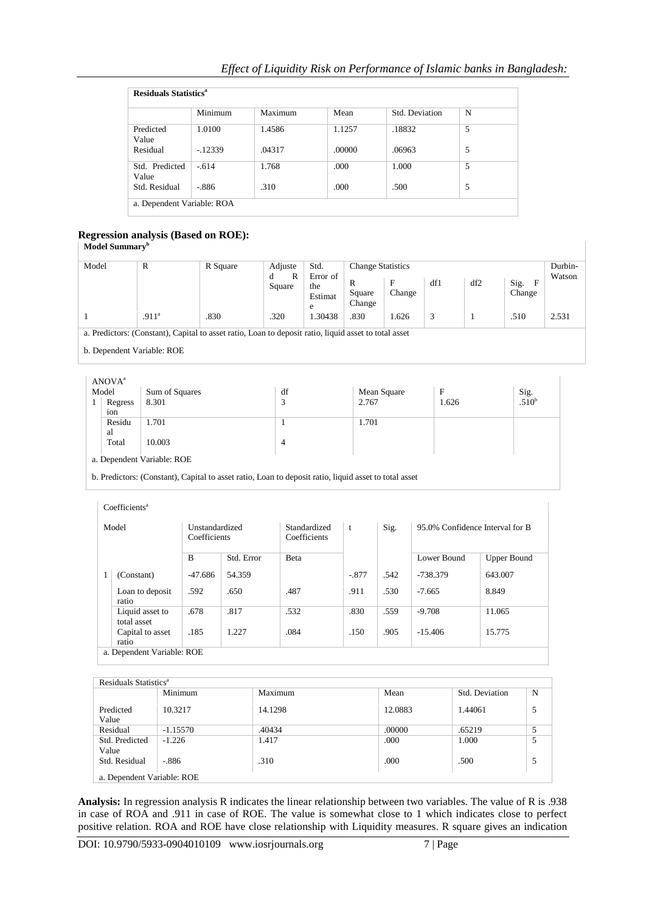|                            | <b>Residuals Statistics<sup>a</sup></b> |         |        |                |   |  |  |  |  |
|----------------------------|-----------------------------------------|---------|--------|----------------|---|--|--|--|--|
|                            | Minimum                                 | Maximum | Mean   | Std. Deviation | N |  |  |  |  |
| Predicted<br>Value         | 1.0100                                  | 1.4586  | 1.1257 | .18832         | 5 |  |  |  |  |
| Residual                   | $-.12339$                               | .04317  | .00000 | .06963         | 5 |  |  |  |  |
| Std. Predicted<br>Value    | $-.614$                                 | 1.768   | .000   | 1.000          | 5 |  |  |  |  |
| Std. Residual              | $-886$                                  | .310    | .000   | .500           | 5 |  |  |  |  |
| a. Dependent Variable: ROA |                                         |         |        |                |   |  |  |  |  |

# **Regression analysis (Based on ROE):**

| Model | R                 | R Square                                                                                              | Adjuste          | Std.                            | <b>Change Statistics</b> |             |     |     |                                | Durbin- |
|-------|-------------------|-------------------------------------------------------------------------------------------------------|------------------|---------------------------------|--------------------------|-------------|-----|-----|--------------------------------|---------|
|       |                   |                                                                                                       | R<br>d<br>Square | Error of<br>the<br>Estimat<br>e | R<br>Square<br>Change    | F<br>Change | df1 | df2 | Sig.<br>$\mathbf{F}$<br>Change | Watson  |
|       | .911 <sup>a</sup> | .830                                                                                                  | .320             | .30438                          | .830                     | 1.626       | 3   |     | .510                           | 2.531   |
|       |                   | a. Predictors: (Constant), Capital to asset ratio, Loan to deposit ratio, liquid asset to total asset |                  |                                 |                          |             |     |     |                                |         |

ANOVA<sup>a</sup>

| ANU V A |                            |                        |             |       |                   |  |  |  |
|---------|----------------------------|------------------------|-------------|-------|-------------------|--|--|--|
| Model   | Sum of Squares             | df                     | Mean Square | F     | Sig.              |  |  |  |
| Regress | 8.301                      | $\mathbf{\Omega}$<br>J | 2.767       | 1.626 | .510 <sup>b</sup> |  |  |  |
| 10n     |                            |                        |             |       |                   |  |  |  |
| Residu  | 1.701                      |                        | 1.701       |       |                   |  |  |  |
| al      |                            |                        |             |       |                   |  |  |  |
| Total   | 10.003                     | 4                      |             |       |                   |  |  |  |
|         |                            |                        |             |       |                   |  |  |  |
|         | a. Dependent Variable: ROE |                        |             |       |                   |  |  |  |
|         |                            |                        |             |       |                   |  |  |  |

b. Predictors: (Constant), Capital to asset ratio, Loan to deposit ratio, liquid asset to total asset

|       | Coefficients <sup>a</sup>      |                                |            |                              |              |      |                                 |                    |
|-------|--------------------------------|--------------------------------|------------|------------------------------|--------------|------|---------------------------------|--------------------|
| Model |                                | Unstandardized<br>Coefficients |            | Standardized<br>Coefficients | $\mathbf{t}$ | Sig. | 95.0% Confidence Interval for B |                    |
|       |                                | B                              | Std. Error | Beta                         |              |      | Lower Bound                     | <b>Upper Bound</b> |
|       | (Constant)                     | $-47.686$                      | 54.359     |                              | $-.877$      | .542 | -738.379                        | 643.007            |
|       | Loan to deposit<br>ratio       | .592                           | .650       | .487                         | .911         | .530 | $-7.665$                        | 8.849              |
|       | Liquid asset to<br>total asset | .678                           | .817       | .532                         | .830         | .559 | $-9.708$                        | 11.065             |
|       | Capital to asset<br>ratio      | .185                           | 1.227      | .084                         | .150         | .905 | $-15.406$                       | 15.775             |
|       | a. Dependent Variable: ROE     |                                |            |                              |              |      |                                 |                    |

|                                     | Minimum                | Maximum         | Mean           | Std. Deviation  | N |
|-------------------------------------|------------------------|-----------------|----------------|-----------------|---|
| Predicted<br>Value                  | 10.3217                | 14.1298         | 12.0883        | 1.44061         | 5 |
| Residual<br>Std. Predicted<br>Value | $-1.15570$<br>$-1.226$ | .40434<br>1.417 | .00000<br>.000 | .65219<br>1.000 | 5 |
| Std. Residual                       | $-886$                 | .310            | .000           | .500            | 5 |

**Analysis:** In regression analysis R indicates the linear relationship between two variables. The value of R is .938 in case of ROA and .911 in case of ROE. The value is somewhat close to 1 which indicates close to perfect positive relation. ROA and ROE have close relationship with Liquidity measures. R square gives an indication

 $\bar{1}$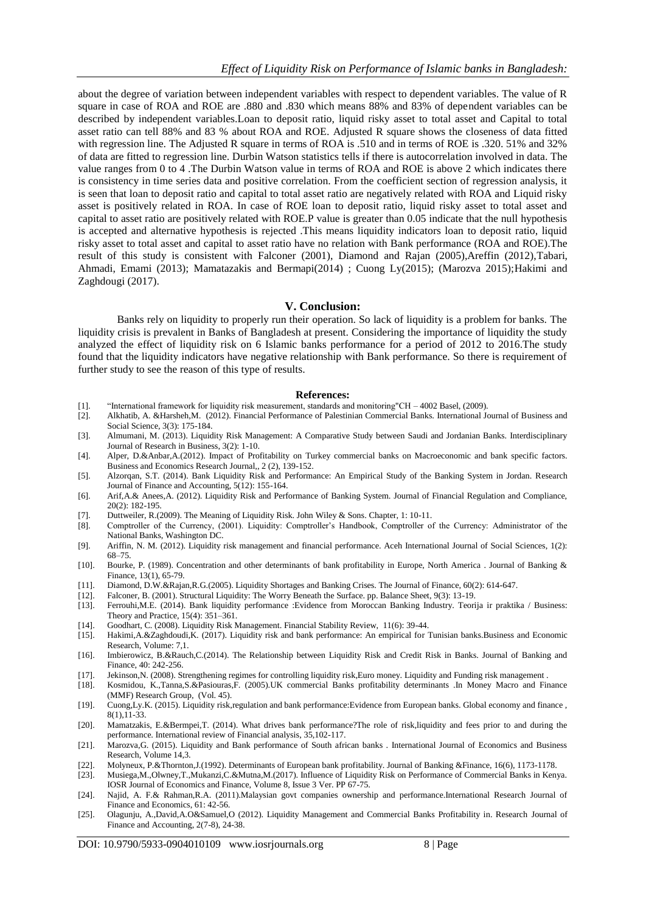about the degree of variation between independent variables with respect to dependent variables. The value of R square in case of ROA and ROE are .880 and .830 which means 88% and 83% of dependent variables can be described by independent variables.Loan to deposit ratio, liquid risky asset to total asset and Capital to total asset ratio can tell 88% and 83 % about ROA and ROE. Adjusted R square shows the closeness of data fitted with regression line. The Adjusted R square in terms of ROA is .510 and in terms of ROE is .320. 51% and 32% of data are fitted to regression line. Durbin Watson statistics tells if there is autocorrelation involved in data. The value ranges from 0 to 4 .The Durbin Watson value in terms of ROA and ROE is above 2 which indicates there is consistency in time series data and positive correlation. From the coefficient section of regression analysis, it is seen that loan to deposit ratio and capital to total asset ratio are negatively related with ROA and Liquid risky asset is positively related in ROA. In case of ROE loan to deposit ratio, liquid risky asset to total asset and capital to asset ratio are positively related with ROE.P value is greater than 0.05 indicate that the null hypothesis is accepted and alternative hypothesis is rejected .This means liquidity indicators loan to deposit ratio, liquid risky asset to total asset and capital to asset ratio have no relation with Bank performance (ROA and ROE).The result of this study is consistent with Falconer (2001), Diamond and Rajan (2005),Areffin (2012),Tabari, Ahmadi, Emami (2013); Mamatazakis and Bermapi(2014) ; Cuong Ly(2015); (Marozva 2015);Hakimi and Zaghdougi (2017).

## **V. Conclusion:**

Banks rely on liquidity to properly run their operation. So lack of liquidity is a problem for banks. The liquidity crisis is prevalent in Banks of Bangladesh at present. Considering the importance of liquidity the study analyzed the effect of liquidity risk on 6 Islamic banks performance for a period of 2012 to 2016.The study found that the liquidity indicators have negative relationship with Bank performance. So there is requirement of further study to see the reason of this type of results.

#### **References:**

- [1]. "International framework for liquidity risk measurement, standards and monitoring"CH 4002 Basel, (2009).
- [2]. Alkhatib, A. &Harsheh,M. (2012). Financial Performance of Palestinian Commercial Banks. International Journal of Business and Social Science, 3(3): 175-184.
- [3]. Almumani, M. (2013). Liquidity Risk Management: A Comparative Study between Saudi and Jordanian Banks. Interdisciplinary Journal of Research in Business, 3(2): 1-10.
- [4]. Alper, D.&Anbar,A.(2012). Impact of Profitability on Turkey commercial banks on Macroeconomic and bank specific factors. Business and Economics Research Journal,, 2 (2), 139-152.
- [5]. Alzorqan, S.T. (2014). Bank Liquidity Risk and Performance: An Empirical Study of the Banking System in Jordan. Research Journal of Finance and Accounting, 5(12): 155-164.
- [6]. Arif,A.& Anees,A. (2012). Liquidity Risk and Performance of Banking System. Journal of Financial Regulation and Compliance, 20(2): 182-195.
- [7]. Duttweiler, R.(2009). The Meaning of Liquidity Risk. John Wiley & Sons. Chapter, 1: 10-11.
- [8]. Comptroller of the Currency, (2001). Liquidity: Comptroller's Handbook, Comptroller of the Currency: Administrator of the National Banks, Washington DC.
- [9]. Ariffin, N. M. (2012). Liquidity risk management and financial performance. Aceh International Journal of Social Sciences, 1(2): 68–75.
- [10]. Bourke, P. (1989). Concentration and other determinants of bank profitability in Europe, North America . Journal of Banking & Finance, 13(1), 65-79.
- [11]. Diamond, D.W.&Rajan,R.G.(2005). Liquidity Shortages and Banking Crises. The Journal of Finance, 60(2): 614-647.
- [12]. Falconer, B. (2001). Structural Liquidity: The Worry Beneath the Surface. pp. Balance Sheet, 9(3): 13-19.
- [13]. Ferrouhi,M.E. (2014). Bank liquidity performance :Evidence from Moroccan Banking Industry. Teorija ir praktika / Business: Theory and Practice, 15(4): 351–361.
- [14]. Goodhart, C. (2008). Liquidity Risk Management. Financial Stability Review, 11(6): 39-44.
- [15]. Hakimi,A.&Zaghdoudi,K. (2017). Liquidity risk and bank performance: An empirical for Tunisian banks.Business and Economic Research, Volume: 7,1.
- [16]. Imbierowicz, B.&Rauch,C.(2014). The Relationship between Liquidity Risk and Credit Risk in Banks. Journal of Banking and Finance, 40: 242-256.
- [17]. Jekinson,N. (2008). Strengthening regimes for controlling liquidity risk,Euro money. Liquidity and Funding risk management .
- [18]. Kosmidou, K.,Tanna,S.&Pasiouras,F. (2005).UK commercial Banks profitability determinants .In Money Macro and Finance (MMF) Research Group, (Vol. 45).
- [19]. Cuong,Ly.K. (2015). Liquidity risk,regulation and bank performance:Evidence from European banks. Global economy and finance , 8(1),11-33.
- [20]. Mamatzakis, E.&Bermpei,T. (2014). What drives bank performance?The role of risk,liquidity and fees prior to and during the performance. International review of Financial analysis, 35,102-117.
- [21]. Marozva,G. (2015). Liquidity and Bank performance of South african banks . International Journal of Economics and Business Research, Volume 14,3.
- [22]. Molyneux, P.&Thornton,J.(1992). Determinants of European bank profitability. Journal of Banking &Finance, 16(6), 1173-1178.
- [23]. Musiega,M.,Olwney,T.,Mukanzi,C.&Mutna,M.(2017). Influence of Liquidity Risk on Performance of Commercial Banks in Kenya.
- IOSR Journal of Economics and Finance, Volume 8, Issue 3 Ver. PP 67-75. [24]. Najid, A. F.& Rahman,R.A. (2011).Malaysian govt companies ownership and performance.International Research Journal of Finance and Economics, 61: 42-56.
- [25]. Olagunju, A.,David,A.O&Samuel,O (2012). Liquidity Management and Commercial Banks Profitability in. Research Journal of Finance and Accounting, 2(7-8), 24-38.